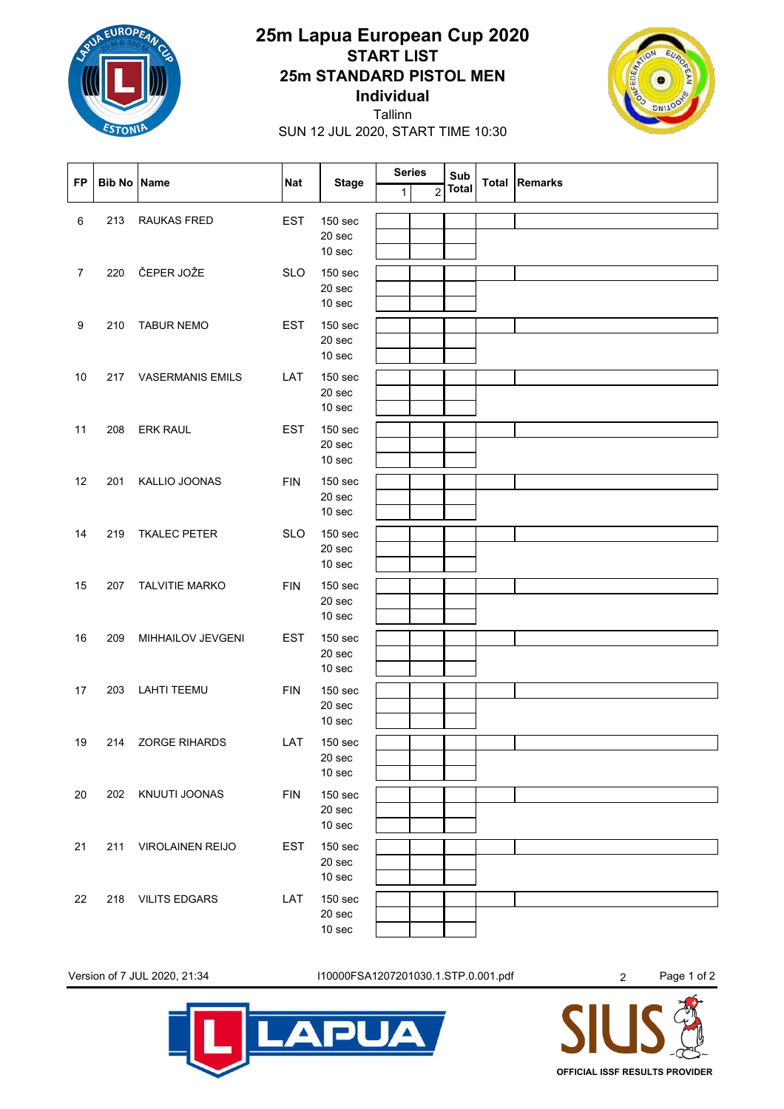

## **Individual 25m STANDARD PISTOL MEN START LIST 25m Lapua European Cup 2020**



SUN 12 JUL 2020, START TIME 10:30 Tallinn

| <b>FP</b>      | <b>Bib No Name</b> |                         | <b>Nat</b> | <b>Stage</b>                                  | <b>Series</b><br>1 | $\overline{2}$ | Sub<br><b>Total</b> | Total | <b>Remarks</b> |
|----------------|--------------------|-------------------------|------------|-----------------------------------------------|--------------------|----------------|---------------------|-------|----------------|
| 6              | 213                | RAUKAS FRED             | <b>EST</b> | 150 sec<br>20 sec<br>10 sec                   |                    |                |                     |       |                |
| $\overline{7}$ | 220                | ČEPER JOŽE              | <b>SLO</b> | 150 sec<br>20 sec<br>10 sec                   |                    |                |                     |       |                |
| 9              | 210                | <b>TABUR NEMO</b>       | <b>EST</b> | <b>150 sec</b><br>20 sec<br>10 sec            |                    |                |                     |       |                |
| 10             | 217                | <b>VASERMANIS EMILS</b> | LAT        | 150 sec<br>20 sec<br>10 sec                   |                    |                |                     |       |                |
| 11             | 208                | <b>ERK RAUL</b>         | <b>EST</b> | 150 sec<br>20 sec<br>10 sec                   |                    |                |                     |       |                |
| 12             | 201                | KALLIO JOONAS           | <b>FIN</b> | 150 sec<br>20 sec<br>10 sec                   |                    |                |                     |       |                |
| 14             | 219                | <b>TKALEC PETER</b>     | <b>SLO</b> | 150 sec<br>20 sec<br>10 <sub>sec</sub>        |                    |                |                     |       |                |
| 15             | 207                | <b>TALVITIE MARKO</b>   | <b>FIN</b> | 150 sec<br>20 sec<br>10 sec                   |                    |                |                     |       |                |
| 16             | 209                | MIHHAILOV JEVGENI       | <b>EST</b> | 150 <sub>sec</sub><br>20 sec<br>10 sec        |                    |                |                     |       |                |
| 17             | 203                | <b>LAHTI TEEMU</b>      | <b>FIN</b> | 150 sec<br>20 sec<br>10 sec                   |                    |                |                     |       |                |
| 19             | 214                | <b>ZORGE RIHARDS</b>    | LAT        | 150 sec<br>20 sec<br>10 sec                   |                    |                |                     |       |                |
| 20             | 202                | KNUUTI JOONAS           | <b>FIN</b> | 150 sec<br>20 sec<br>10 sec                   |                    |                |                     |       |                |
| 21             | 211                | <b>VIROLAINEN REIJO</b> | <b>EST</b> | 150 sec<br>20 sec<br>10 sec                   |                    |                |                     |       |                |
| 22             | 218                | <b>VILITS EDGARS</b>    | LAT        | <b>150 sec</b><br>20 sec<br>10 <sub>sec</sub> |                    |                |                     |       |                |

Version of 7 JUL 2020, 21:34 I10000FSA1207201030.1.STP.0.001.pdf 2 Page 1 of 2

**APUA**